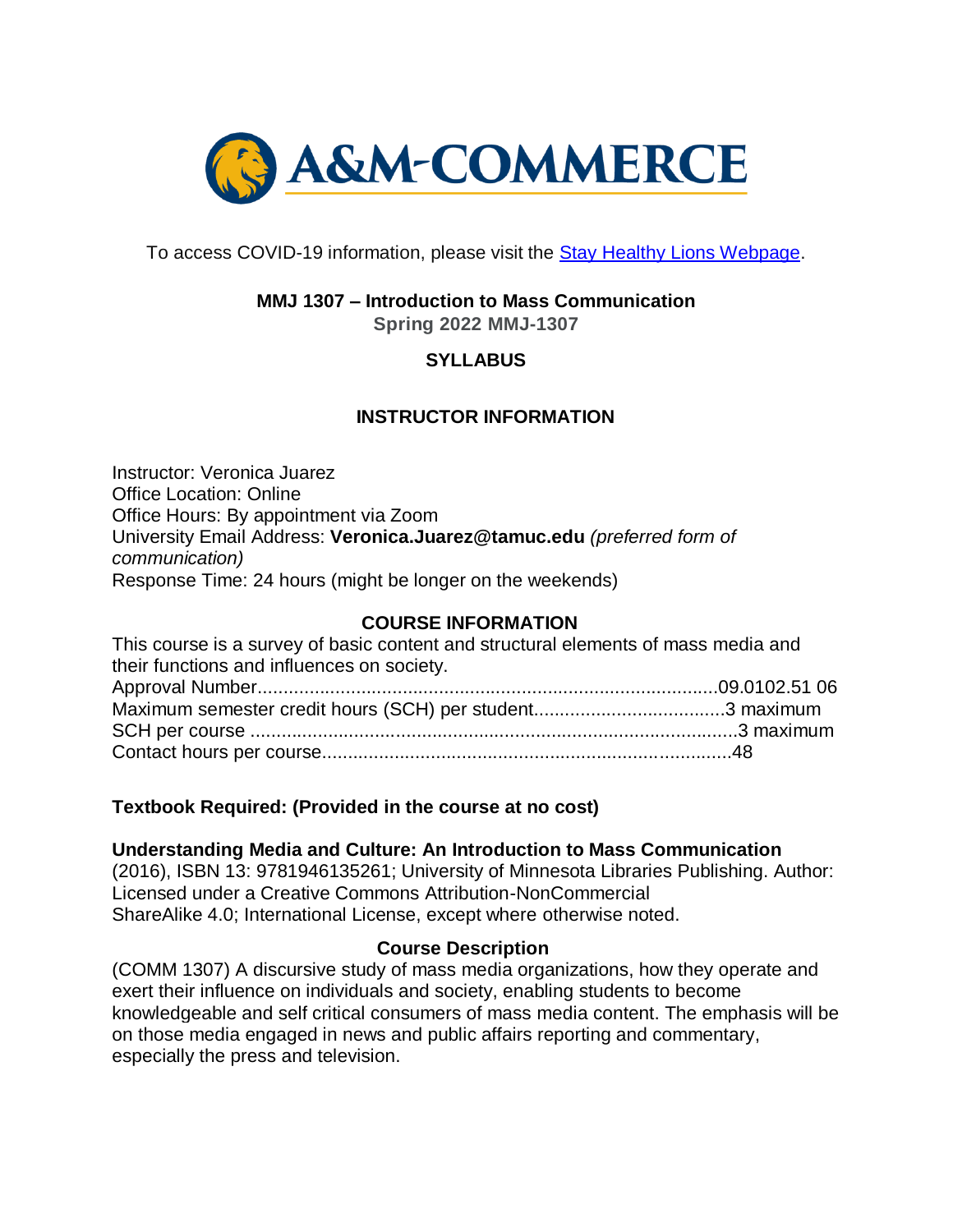

To access COVID-19 information, please visit the [Stay Healthy Lions Webpage.](https://new.tamuc.edu/coronavirus/)

# **MMJ 1307 – Introduction to Mass Communication**

**Spring 2022 MMJ-1307**

# **SYLLABUS**

# **INSTRUCTOR INFORMATION**

Instructor: Veronica Juarez Office Location: Online Office Hours: By appointment via Zoom University Email Address: **Veronica.Juarez@tamuc.edu** *(preferred form of communication)* Response Time: 24 hours (might be longer on the weekends)

## **COURSE INFORMATION**

| This course is a survey of basic content and structural elements of mass media and |  |
|------------------------------------------------------------------------------------|--|
| their functions and influences on society.                                         |  |
|                                                                                    |  |
|                                                                                    |  |
|                                                                                    |  |
|                                                                                    |  |

## **Textbook Required: (Provided in the course at no cost)**

#### **Understanding Media and Culture: An Introduction to Mass Communication**

(2016), ISBN 13: 9781946135261; University of Minnesota Libraries Publishing. Author: Licensed under a Creative Commons Attribution-NonCommercial ShareAlike 4.0; International License, except where otherwise noted.

#### **Course Description**

(COMM 1307) A discursive study of mass media organizations, how they operate and exert their influence on individuals and society, enabling students to become knowledgeable and self critical consumers of mass media content. The emphasis will be on those media engaged in news and public affairs reporting and commentary, especially the press and television.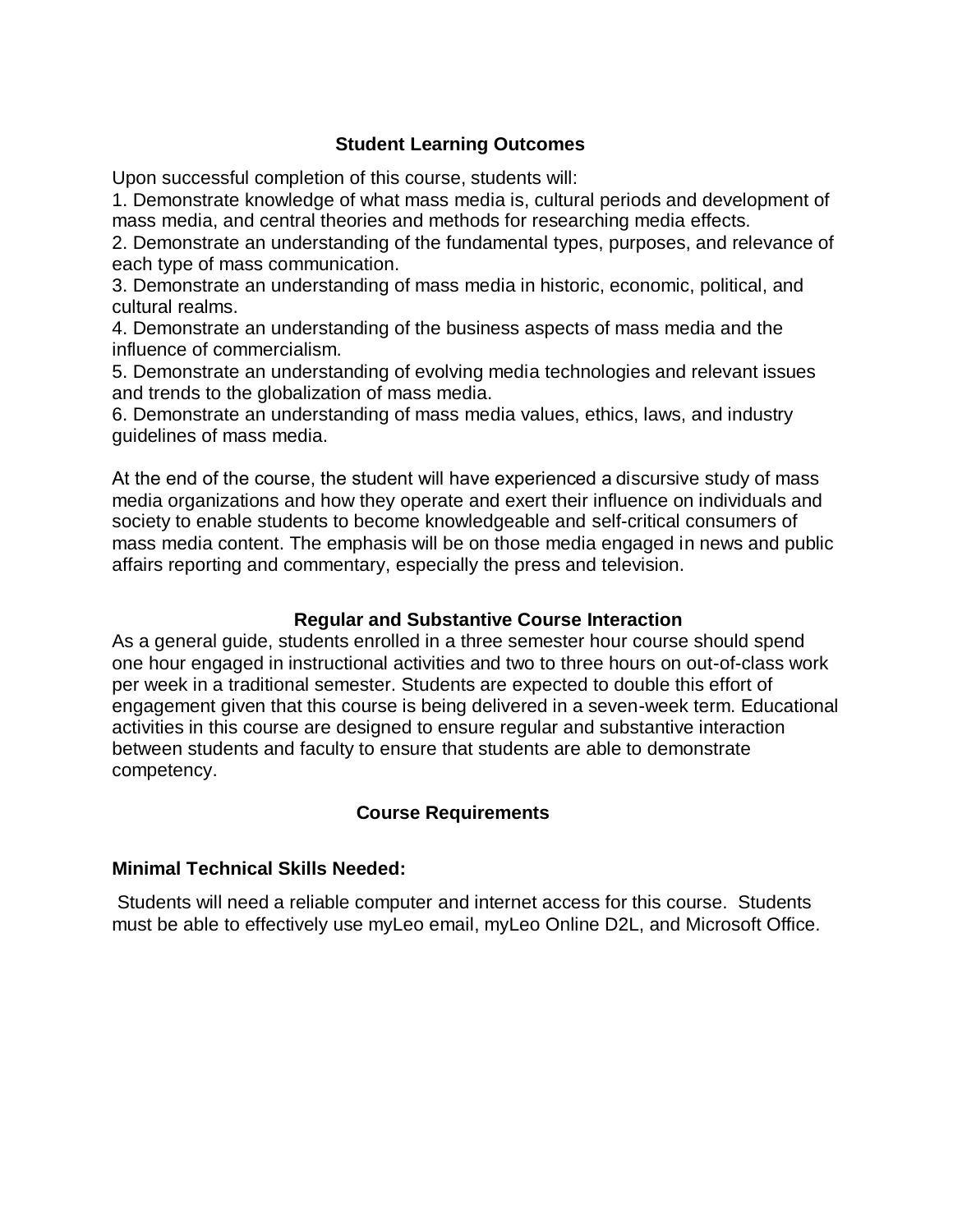## **Student Learning Outcomes**

Upon successful completion of this course, students will:

1. Demonstrate knowledge of what mass media is, cultural periods and development of mass media, and central theories and methods for researching media effects.

2. Demonstrate an understanding of the fundamental types, purposes, and relevance of each type of mass communication.

3. Demonstrate an understanding of mass media in historic, economic, political, and cultural realms.

4. Demonstrate an understanding of the business aspects of mass media and the influence of commercialism.

5. Demonstrate an understanding of evolving media technologies and relevant issues and trends to the globalization of mass media.

6. Demonstrate an understanding of mass media values, ethics, laws, and industry guidelines of mass media.

At the end of the course, the student will have experienced a discursive study of mass media organizations and how they operate and exert their influence on individuals and society to enable students to become knowledgeable and self-critical consumers of mass media content. The emphasis will be on those media engaged in news and public affairs reporting and commentary, especially the press and television.

## **Regular and Substantive Course Interaction**

As a general guide, students enrolled in a three semester hour course should spend one hour engaged in instructional activities and two to three hours on out-of-class work per week in a traditional semester. Students are expected to double this effort of engagement given that this course is being delivered in a seven-week term. Educational activities in this course are designed to ensure regular and substantive interaction between students and faculty to ensure that students are able to demonstrate competency.

# **Course Requirements**

## **Minimal Technical Skills Needed:**

Students will need a reliable computer and internet access for this course. Students must be able to effectively use myLeo email, myLeo Online D2L, and Microsoft Office.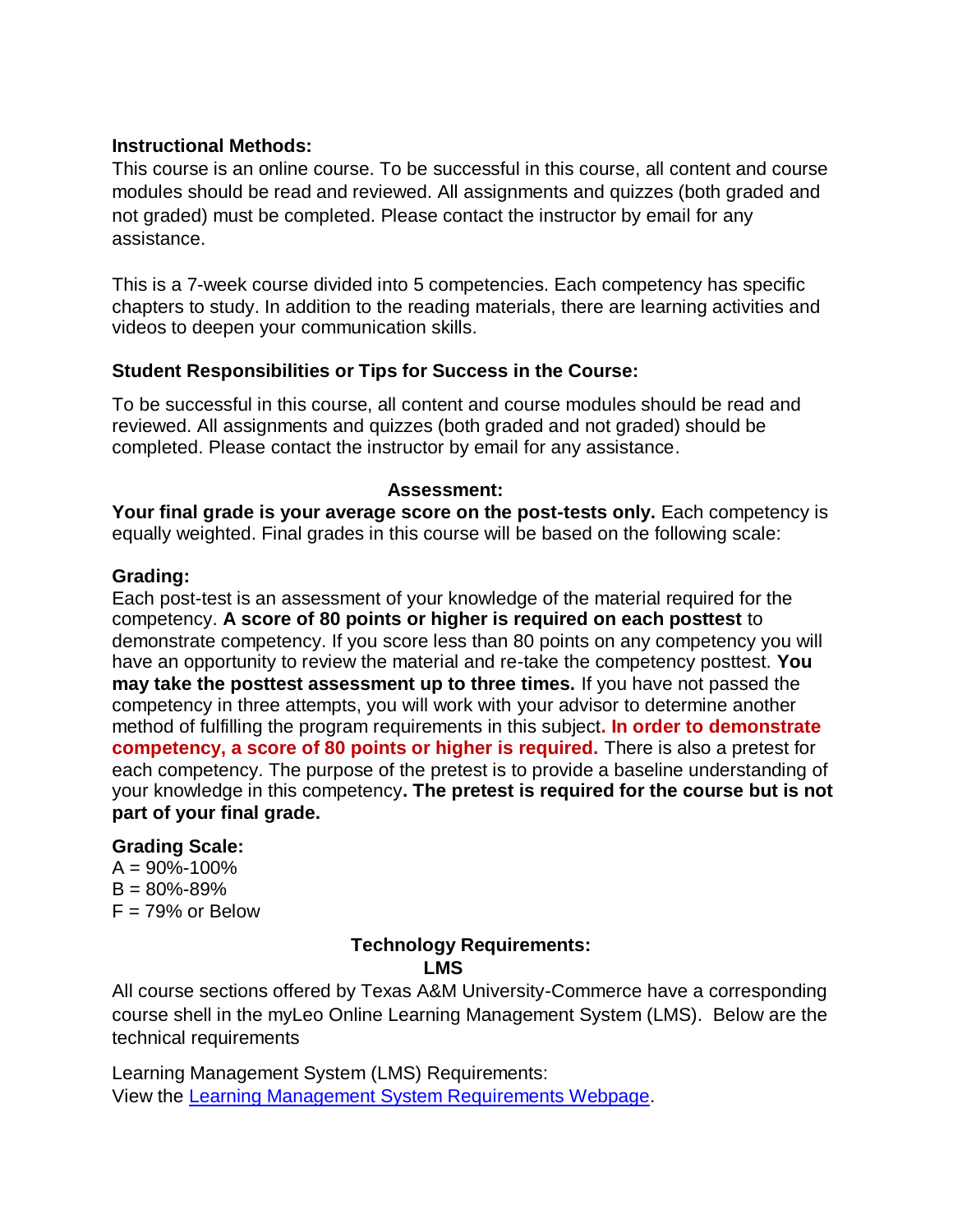## **Instructional Methods:**

This course is an online course. To be successful in this course, all content and course modules should be read and reviewed. All assignments and quizzes (both graded and not graded) must be completed. Please contact the instructor by email for any assistance.

This is a 7-week course divided into 5 competencies. Each competency has specific chapters to study. In addition to the reading materials, there are learning activities and videos to deepen your communication skills.

## **Student Responsibilities or Tips for Success in the Course:**

To be successful in this course, all content and course modules should be read and reviewed. All assignments and quizzes (both graded and not graded) should be completed. Please contact the instructor by email for any assistance.

## **Assessment:**

**Your final grade is your average score on the post-tests only.** Each competency is equally weighted. Final grades in this course will be based on the following scale:

## **Grading:**

Each post-test is an assessment of your knowledge of the material required for the competency. **A score of 80 points or higher is required on each posttest** to demonstrate competency. If you score less than 80 points on any competency you will have an opportunity to review the material and re-take the competency posttest. **You may take the posttest assessment up to three times.** If you have not passed the competency in three attempts, you will work with your advisor to determine another method of fulfilling the program requirements in this subject**. In order to demonstrate competency, a score of 80 points or higher is required.** There is also a pretest for each competency. The purpose of the pretest is to provide a baseline understanding of your knowledge in this competency**. The pretest is required for the course but is not part of your final grade.**

## **Grading Scale:**

 $A = 90\% - 100\%$  $B = 80\% - 89\%$  $F = 79%$  or Below

# **Technology Requirements:**

 *LMS* 

All course sections offered by Texas A&M University-Commerce have a corresponding course shell in the myLeo Online Learning Management System (LMS). Below are the technical requirements

Learning Management System (LMS) Requirements: View the [Learning Management System Requirements Webpage.](https://community.brightspace.com/s/article/Brightspace-Platform-Requirements)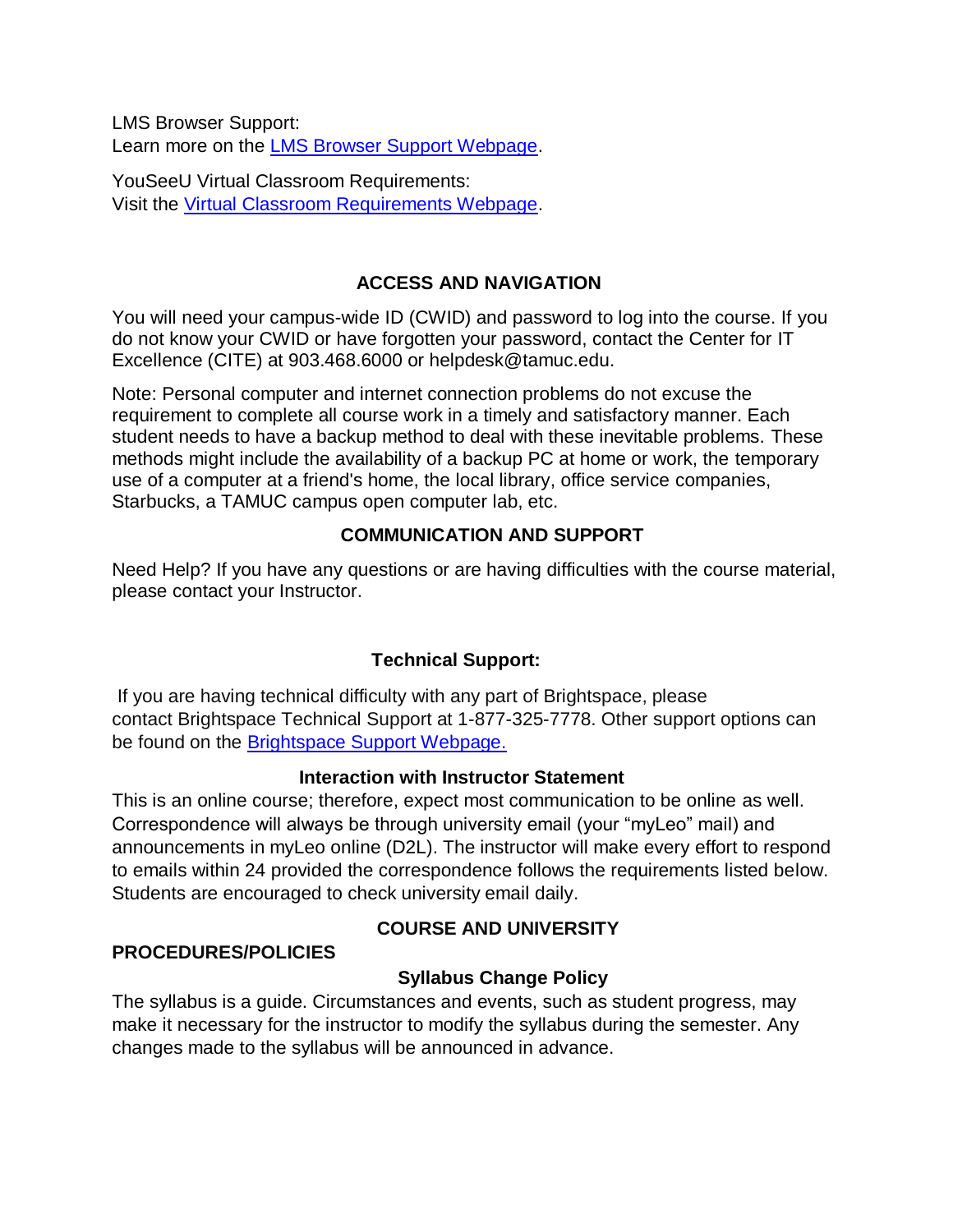LMS Browser Support: Learn more on the [LMS Browser Support Webpage.](https://documentation.brightspace.com/EN/brightspace/requirements/all/browser_support.htm)

YouSeeU Virtual Classroom Requirements: Visit the [Virtual Classroom Requirements Webpage.](https://support.youseeu.com/hc/en-us/articles/115007031107-Basic-System-Requirements)

# **ACCESS AND NAVIGATION**

You will need your campus-wide ID (CWID) and password to log into the course. If you do not know your CWID or have forgotten your password, contact the Center for IT Excellence (CITE) at 903.468.6000 or helpdesk@tamuc.edu.

Note: Personal computer and internet connection problems do not excuse the requirement to complete all course work in a timely and satisfactory manner. Each student needs to have a backup method to deal with these inevitable problems. These methods might include the availability of a backup PC at home or work, the temporary use of a computer at a friend's home, the local library, office service companies, Starbucks, a TAMUC campus open computer lab, etc.

# **COMMUNICATION AND SUPPORT**

Need Help? If you have any questions or are having difficulties with the course material, please contact your Instructor.

# **Technical Support:**

If you are having technical difficulty with any part of Brightspace, please contact Brightspace Technical Support at 1-877-325-7778. Other support options can be found on the [Brightspace Support Webpage.](https://community.brightspace.com/support/s/contactsupport)

# **Interaction with Instructor Statement**

This is an online course; therefore, expect most communication to be online as well. Correspondence will always be through university email (your "myLeo" mail) and announcements in myLeo online (D2L). The instructor will make every effort to respond to emails within 24 provided the correspondence follows the requirements listed below. Students are encouraged to check university email daily.

# **PROCEDURES/POLICIES**

# **COURSE AND UNIVERSITY**

# **Syllabus Change Policy**

The syllabus is a guide. Circumstances and events, such as student progress, may make it necessary for the instructor to modify the syllabus during the semester. Any changes made to the syllabus will be announced in advance.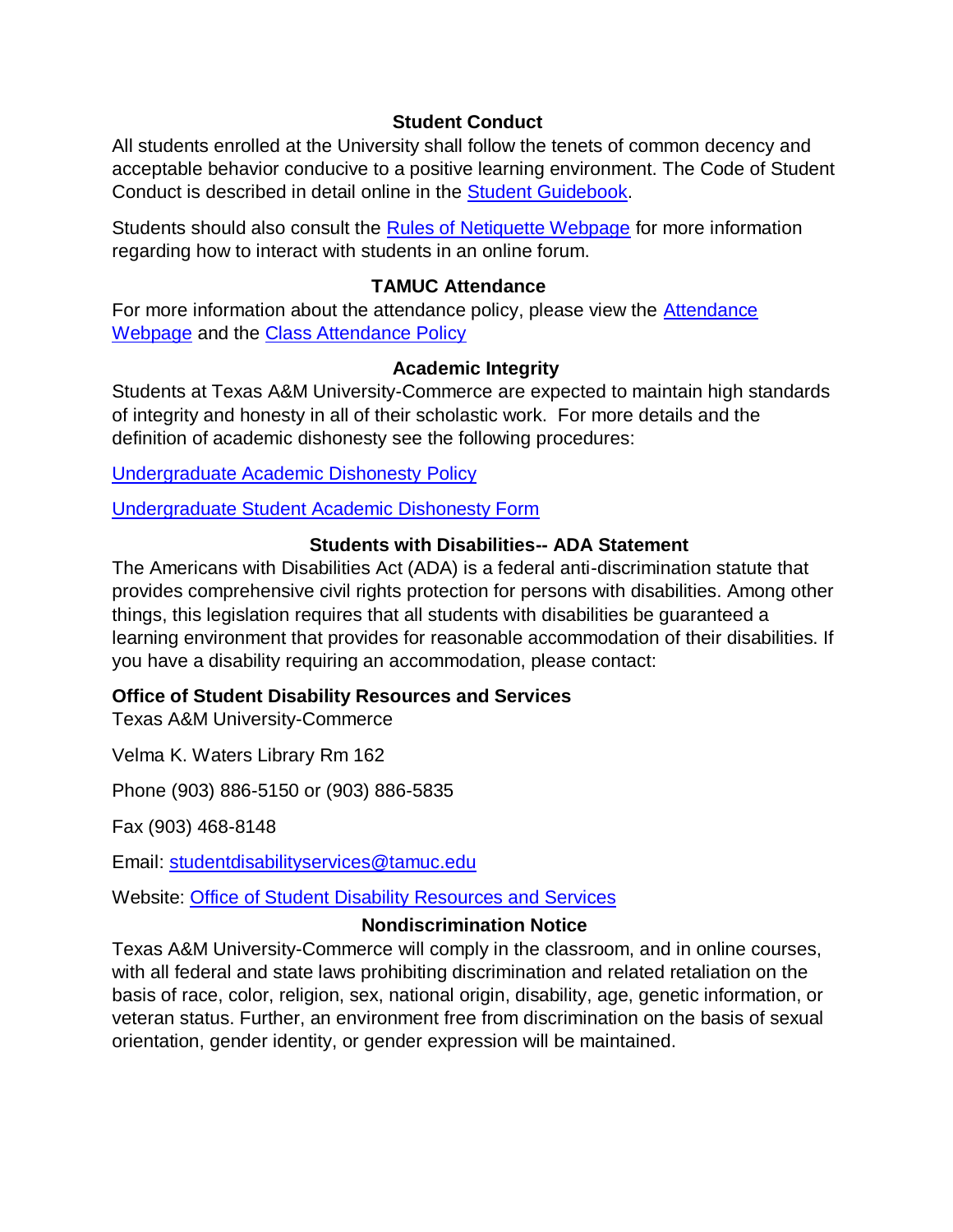## **Student Conduct**

All students enrolled at the University shall follow the tenets of common decency and acceptable behavior conducive to a positive learning environment. The Code of Student Conduct is described in detail online in the [Student Guidebook.](http://www.tamuc.edu/Admissions/oneStopShop/undergraduateAdmissions/studentGuidebook.aspx)

Students should also consult the [Rules of Netiquette Webpage](https://www.britannica.com/topic/netiquette) for more information regarding how to interact with students in an online forum.

## **TAMUC Attendance**

For more information about the attendance policy, please view the [Attendance](http://www.tamuc.edu/admissions/registrar/generalInformation/attendance.aspx)  [Webpage](http://www.tamuc.edu/admissions/registrar/generalInformation/attendance.aspx) and the [Class Attendance Policy](http://www.tamuc.edu/aboutUs/policiesProceduresStandardsStatements/rulesProcedures/13students/academic/13.99.99.R0.01.pdf)

# **Academic Integrity**

Students at Texas A&M University-Commerce are expected to maintain high standards of integrity and honesty in all of their scholastic work. For more details and the definition of academic dishonesty see the following procedures:

[Undergraduate Academic Dishonesty P](http://www.tamuc.edu/aboutUs/policiesProceduresStandardsStatements/rulesProcedures/13students/undergraduates/13.99.99.R0.03UndergraduateAcademicDishonesty.pdf)olicy

[Undergraduate Student Academic Dishonesty Form](http://www.tamuc.edu/aboutUs/policiesProceduresStandardsStatements/rulesProcedures/documents/13.99.99.R0.03UndergraduateStudentAcademicDishonestyForm.pdf)

## **Students with Disabilities-- ADA Statement**

The Americans with Disabilities Act (ADA) is a federal anti-discrimination statute that provides comprehensive civil rights protection for persons with disabilities. Among other things, this legislation requires that all students with disabilities be guaranteed a learning environment that provides for reasonable accommodation of their disabilities. If you have a disability requiring an accommodation, please contact:

## **Office of Student Disability Resources and Services**

Texas A&M University-Commerce

Velma K. Waters Library Rm 162

Phone (903) 886-5150 or (903) 886-5835

Fax (903) 468-8148

Email: [studentdisabilityservices@tamuc.edu](mailto:studentdisabilityservices@tamuc.edu)

Website: [Office of Student Disability Resources and Services](http://www.tamuc.edu/campusLife/campusServices/studentDisabilityResourcesAndServices/)

## **Nondiscrimination Notice**

Texas A&M University-Commerce will comply in the classroom, and in online courses, with all federal and state laws prohibiting discrimination and related retaliation on the basis of race, color, religion, sex, national origin, disability, age, genetic information, or veteran status. Further, an environment free from discrimination on the basis of sexual orientation, gender identity, or gender expression will be maintained.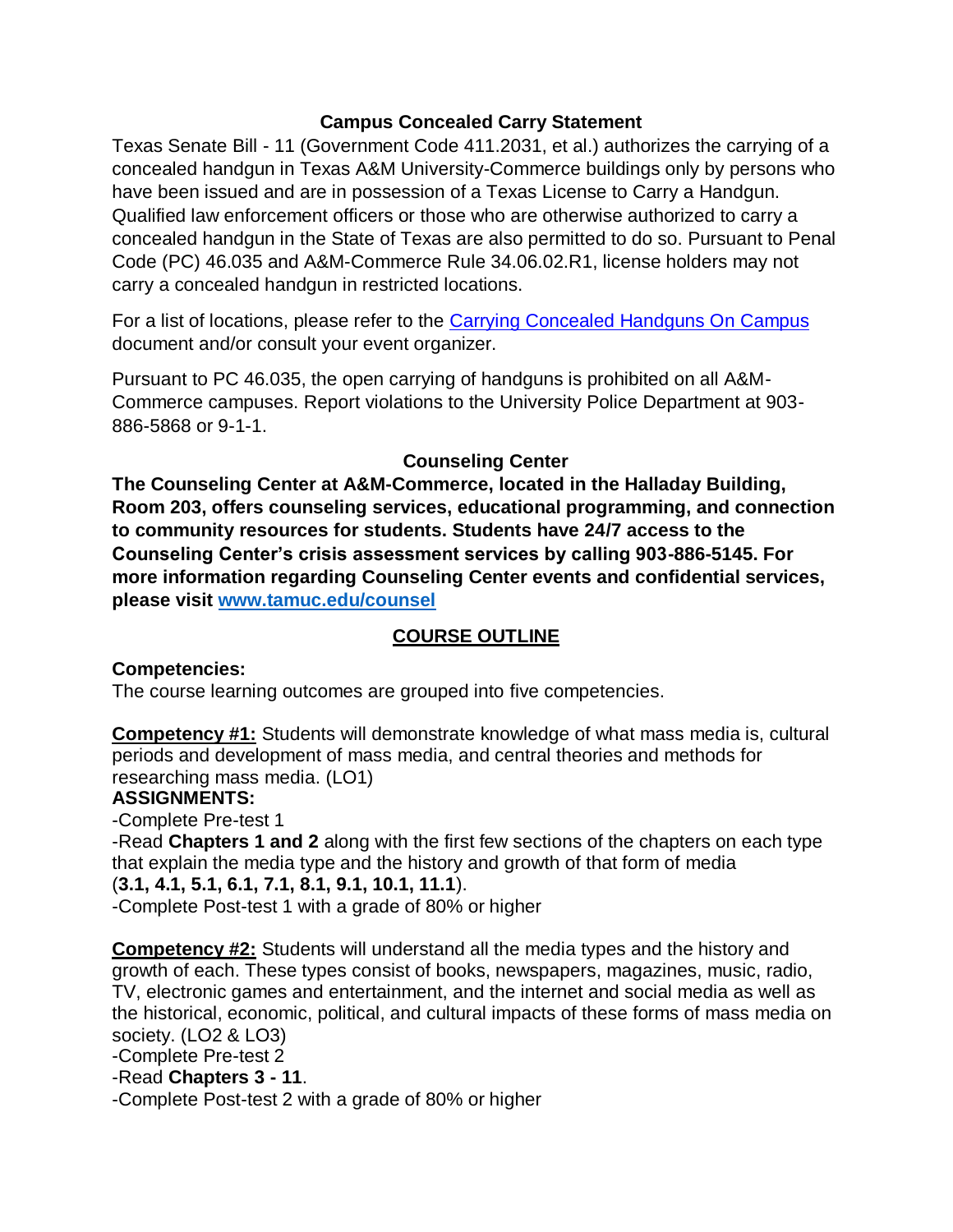# **Campus Concealed Carry Statement**

Texas Senate Bill - 11 (Government Code 411.2031, et al.) authorizes the carrying of a concealed handgun in Texas A&M University-Commerce buildings only by persons who have been issued and are in possession of a Texas License to Carry a Handgun. Qualified law enforcement officers or those who are otherwise authorized to carry a concealed handgun in the State of Texas are also permitted to do so. Pursuant to Penal Code (PC) 46.035 and A&M-Commerce Rule 34.06.02.R1, license holders may not carry a concealed handgun in restricted locations.

For a list of locations, please refer to the [Carrying Concealed Handguns On Campus](http://www.tamuc.edu/aboutUs/policiesProceduresStandardsStatements/rulesProcedures/34SafetyOfEmployeesAndStudents/34.06.02.R1.pdf) document and/or consult your event organizer.

Pursuant to PC 46.035, the open carrying of handguns is prohibited on all A&M-Commerce campuses. Report violations to the University Police Department at 903- 886-5868 or 9-1-1.

# **Counseling Center**

**The Counseling Center at A&M-Commerce, located in the Halladay Building, Room 203, offers counseling services, educational programming, and connection to community resources for students. Students have 24/7 access to the Counseling Center's crisis assessment services by calling 903-886-5145. For more information regarding Counseling Center events and confidential services, please visit [www.tamuc.edu/counsel](https://outlook.tamuc.edu/owa/redir.aspx?C=TdO3L4WhemCcPnyQ0wud_WyC5YnfbUodl-xrSuYHeSURqB3hvkHZCA..&URL=http%3a%2f%2fwww.tamuc.edu%2fcounsel)**

# **COURSE OUTLINE**

# **Competencies:**

The course learning outcomes are grouped into five competencies.

**Competency #1:** Students will demonstrate knowledge of what mass media is, cultural periods and development of mass media, and central theories and methods for researching mass media. (LO1)

# **ASSIGNMENTS:**

-Complete Pre-test 1

-Read **Chapters 1 and 2** along with the first few sections of the chapters on each type that explain the media type and the history and growth of that form of media (**3.1, 4.1, 5.1, 6.1, 7.1, 8.1, 9.1, 10.1, 11.1**). -Complete Post-test 1 with a grade of 80% or higher

**Competency #2:** Students will understand all the media types and the history and growth of each. These types consist of books, newspapers, magazines, music, radio, TV, electronic games and entertainment, and the internet and social media as well as the historical, economic, political, and cultural impacts of these forms of mass media on society. (LO2 & LO3)

-Complete Pre-test 2

-Read **Chapters 3 - 11**.

-Complete Post-test 2 with a grade of 80% or higher